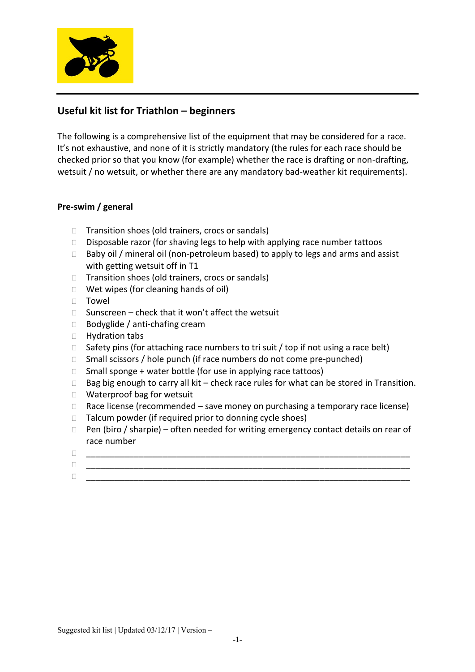

# **Useful kit list for Triathlon – beginners**

The following is a comprehensive list of the equipment that may be considered for a race. It's not exhaustive, and none of it is strictly mandatory (the rules for each race should be checked prior so that you know (for example) whether the race is drafting or non-drafting, wetsuit / no wetsuit, or whether there are any mandatory bad-weather kit requirements).

## **Pre-swim / general**

- $\Box$  Transition shoes (old trainers, crocs or sandals)
- $\square$  Disposable razor (for shaving legs to help with applying race number tattoos
- $\Box$  Baby oil / mineral oil (non-petroleum based) to apply to legs and arms and assist with getting wetsuit off in T1
- $\Box$  Transition shoes (old trainers, crocs or sandals)
- $\Box$  Wet wipes (for cleaning hands of oil)
- Towel
- $\Box$  Sunscreen check that it won't affect the wetsuit
- $\Box$  Bodyglide / anti-chafing cream
- □ Hydration tabs
- $\Box$  Safety pins (for attaching race numbers to tri suit / top if not using a race belt)
- $\Box$  Small scissors / hole punch (if race numbers do not come pre-punched)
- $\Box$  Small sponge + water bottle (for use in applying race tattoos)
- $\Box$  Bag big enough to carry all kit check race rules for what can be stored in Transition.
- □ Waterproof bag for wetsuit
- $\Box$  Race license (recommended save money on purchasing a temporary race license)
- $\Box$  Talcum powder (if required prior to donning cycle shoes)
- $\Box$  Pen (biro / sharpie) often needed for writing emergency contact details on rear of race number
- \_\_\_\_\_\_\_\_\_\_\_\_\_\_\_\_\_\_\_\_\_\_\_\_\_\_\_\_\_\_\_\_\_\_\_\_\_\_\_\_\_\_\_\_\_\_\_\_\_\_\_\_\_\_\_\_\_\_\_\_\_\_\_\_\_\_\_\_
- \_\_\_\_\_\_\_\_\_\_\_\_\_\_\_\_\_\_\_\_\_\_\_\_\_\_\_\_\_\_\_\_\_\_\_\_\_\_\_\_\_\_\_\_\_\_\_\_\_\_\_\_\_\_\_\_\_\_\_\_\_\_\_\_\_\_\_\_
- \_\_\_\_\_\_\_\_\_\_\_\_\_\_\_\_\_\_\_\_\_\_\_\_\_\_\_\_\_\_\_\_\_\_\_\_\_\_\_\_\_\_\_\_\_\_\_\_\_\_\_\_\_\_\_\_\_\_\_\_\_\_\_\_\_\_\_\_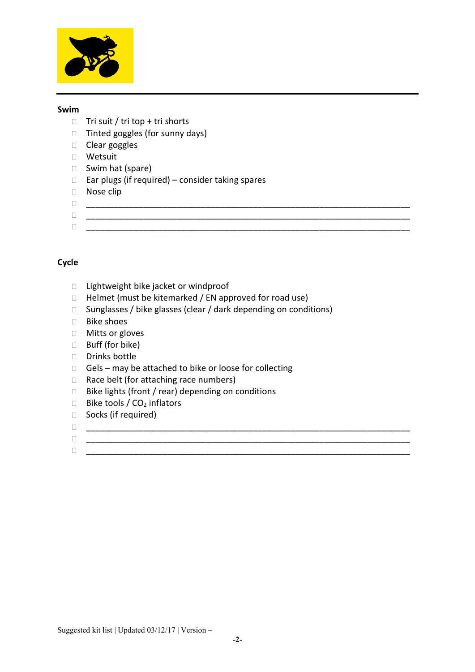

#### **Swim**

- $\Box$  Tri suit / tri top + tri shorts
- □ Tinted goggles (for sunny days)
- $\Box$  Clear goggles
- Wetsuit
- □ Swim hat (spare)
- $\Box$  Ear plugs (if required) consider taking spares
- □ Nose clip
- $\Box$
- \_\_\_\_\_\_\_\_\_\_\_\_\_\_\_\_\_\_\_\_\_\_\_\_\_\_\_\_\_\_\_\_\_\_\_\_\_\_\_\_\_\_\_\_\_\_\_\_\_\_\_\_\_\_\_\_\_\_\_\_\_\_\_\_\_\_\_\_
- \_\_\_\_\_\_\_\_\_\_\_\_\_\_\_\_\_\_\_\_\_\_\_\_\_\_\_\_\_\_\_\_\_\_\_\_\_\_\_\_\_\_\_\_\_\_\_\_\_\_\_\_\_\_\_\_\_\_\_\_\_\_\_\_\_\_\_\_

# **Cycle**

- $\Box$  Lightweight bike jacket or windproof
- $\Box$  Helmet (must be kitemarked / EN approved for road use)
- $\square$  Sunglasses / bike glasses (clear / dark depending on conditions)

 $\Box$  . The contract of the contract of the contract of the contract of the contract of the contract of the contract of the contract of the contract of the contract of the contract of the contract of the contract of the co

- □ Bike shoes
- □ Mitts or gloves
- □ Buff (for bike)
- Drinks bottle
- $\Box$  Gels may be attached to bike or loose for collecting
- $\Box$  Race belt (for attaching race numbers)
- $\square$  Bike lights (front / rear) depending on conditions
- $\Box$  Bike tools /  $CO<sub>2</sub>$  inflators
- □ Socks (if required)
- \_\_\_\_\_\_\_\_\_\_\_\_\_\_\_\_\_\_\_\_\_\_\_\_\_\_\_\_\_\_\_\_\_\_\_\_\_\_\_\_\_\_\_\_\_\_\_\_\_\_\_\_\_\_\_\_\_\_\_\_\_\_\_\_\_\_\_\_
- \_\_\_\_\_\_\_\_\_\_\_\_\_\_\_\_\_\_\_\_\_\_\_\_\_\_\_\_\_\_\_\_\_\_\_\_\_\_\_\_\_\_\_\_\_\_\_\_\_\_\_\_\_\_\_\_\_\_\_\_\_\_\_\_\_\_\_\_